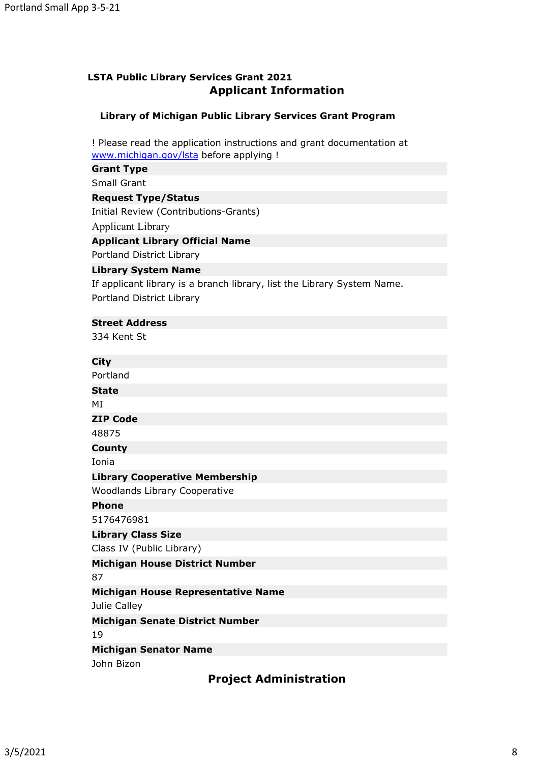# **LSTA Public Library Services Grant 2021 Applicant Information**

# **Library of Michigan Public Library Services Grant Program**

! Please read the application instructions and grant documentation at [www.michigan.gov/lsta](��  h t t p : / / w w w . m i c h i g a n . g o v / l s t a ) before applying !

## **Grant Type**

Small Grant

## **Request Type/Status**

Initial Review (Contributions-Grants)

Applicant Library

### **Applicant Library Official Name**

Portland District Library

### **Library System Name**

If applicant library is a branch library, list the Library System Name. Portland District Library

## **Street Address**

334 Kent St

## **City**

Portland **State** MI **ZIP Code** 48875 **County**

Ionia

### **Library Cooperative Membership**

Woodlands Library Cooperative

**Phone**

5176476981

**Library Class Size**

Class IV (Public Library)

### **Michigan House District Number**

87

## **Michigan House Representative Name**

Julie Calley

### **Michigan Senate District Number**

19

## **Michigan Senator Name**

John Bizon

**Project Administration**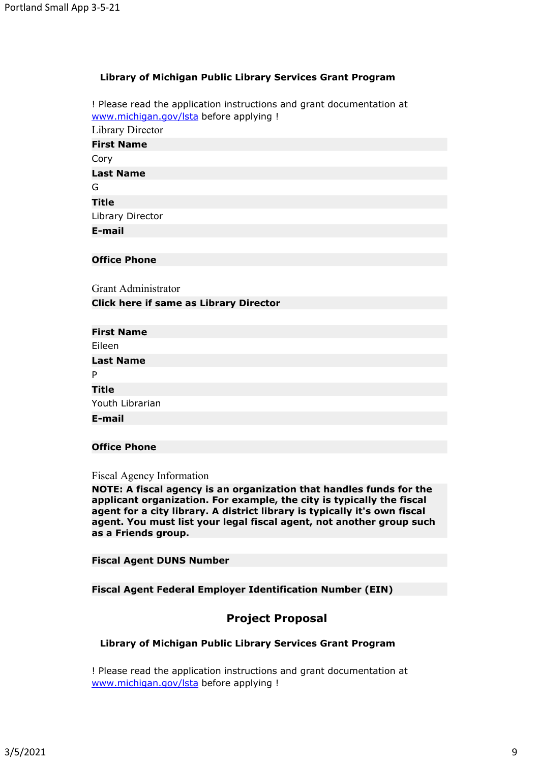## **Library of Michigan Public Library Services Grant Program**

! Please read the application instructions and grant documentation at [www.michigan.gov/lsta](��  h t t p : / / w w w . m i c h i g a n . g o v / l s t a ) before applying ! Library Director **First Name** Cory **Last Name** G **Title** Library Director **E-mail**

#### **Office Phone**

Grant Administrator

## **Click here if same as Library Director**

| <b>First Name</b> |  |
|-------------------|--|
| Eileen            |  |
| <b>Last Name</b>  |  |
| P                 |  |
| Title             |  |
| Youth Librarian   |  |
| E-mail            |  |
|                   |  |

## **Office Phone**

Fiscal Agency Information

**NOTE: A fiscal agency is an organization that handles funds for the applicant organization. For example, the city is typically the fiscal agent for a city library. A district library is typically it's own fiscal agent. You must list your legal fiscal agent, not another group such as a Friends group.**

**Fiscal Agent DUNS Number**

**Fiscal Agent Federal Employer Identification Number (EIN)**

# **Project Proposal**

#### **Library of Michigan Public Library Services Grant Program**

! Please read the application instructions and grant documentation at [www.michigan.gov/lsta](��  h t t p : / / w w w . m i c h i g a n . g o v / l s t a ) before applying !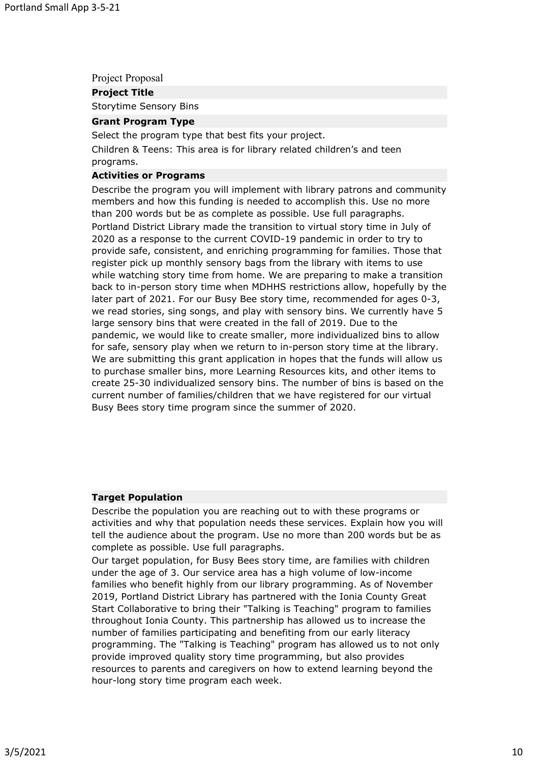Project Proposal

**Project Title**

Storytime Sensory Bins

#### **Grant Program Type**

Select the program type that best fits your project.

Children & Teens: This area is for library related children's and teen programs.

# **Activities or Programs**

Describe the program you will implement with library patrons and community members and how this funding is needed to accomplish this. Use no more than 200 words but be as complete as possible. Use full paragraphs. Portland District Library made the transition to virtual story time in July of 2020 as a response to the current COVID-19 pandemic in order to try to provide safe, consistent, and enriching programming for families. Those that register pick up monthly sensory bags from the library with items to use while watching story time from home. We are preparing to make a transition back to in-person story time when MDHHS restrictions allow, hopefully by the later part of 2021. For our Busy Bee story time, recommended for ages 0-3, we read stories, sing songs, and play with sensory bins. We currently have 5 large sensory bins that were created in the fall of 2019. Due to the pandemic, we would like to create smaller, more individualized bins to allow for safe, sensory play when we return to in-person story time at the library. We are submitting this grant application in hopes that the funds will allow us to purchase smaller bins, more Learning Resources kits, and other items to create 25-30 individualized sensory bins. The number of bins is based on the current number of families/children that we have registered for our virtual Busy Bees story time program since the summer of 2020.

#### **Target Population**

Describe the population you are reaching out to with these programs or activities and why that population needs these services. Explain how you will tell the audience about the program. Use no more than 200 words but be as complete as possible. Use full paragraphs.

Our target population, for Busy Bees story time, are families with children under the age of 3. Our service area has a high volume of low-income families who benefit highly from our library programming. As of November 2019, Portland District Library has partnered with the Ionia County Great Start Collaborative to bring their "Talking is Teaching" program to families throughout Ionia County. This partnership has allowed us to increase the number of families participating and benefiting from our early literacy programming. The "Talking is Teaching" program has allowed us to not only provide improved quality story time programming, but also provides resources to parents and caregivers on how to extend learning beyond the hour-long story time program each week.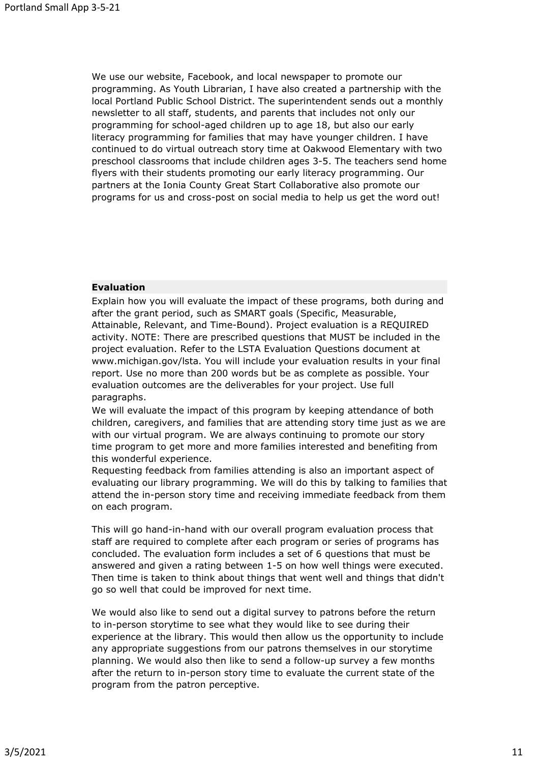We use our website, Facebook, and local newspaper to promote our programming. As Youth Librarian, I have also created a partnership with the local Portland Public School District. The superintendent sends out a monthly newsletter to all staff, students, and parents that includes not only our programming for school-aged children up to age 18, but also our early literacy programming for families that may have younger children. I have continued to do virtual outreach story time at Oakwood Elementary with two preschool classrooms that include children ages 3-5. The teachers send home flyers with their students promoting our early literacy programming. Our partners at the Ionia County Great Start Collaborative also promote our programs for us and cross-post on social media to help us get the word out!

### **Evaluation**

Explain how you will evaluate the impact of these programs, both during and after the grant period, such as SMART goals (Specific, Measurable, Attainable, Relevant, and Time-Bound). Project evaluation is a REQUIRED activity. NOTE: There are prescribed questions that MUST be included in the project evaluation. Refer to the LSTA Evaluation Questions document at www.michigan.gov/lsta. You will include your evaluation results in your final report. Use no more than 200 words but be as complete as possible. Your evaluation outcomes are the deliverables for your project. Use full paragraphs.

We will evaluate the impact of this program by keeping attendance of both children, caregivers, and families that are attending story time just as we are with our virtual program. We are always continuing to promote our story time program to get more and more families interested and benefiting from this wonderful experience.

Requesting feedback from families attending is also an important aspect of evaluating our library programming. We will do this by talking to families that attend the in-person story time and receiving immediate feedback from them on each program.

This will go hand-in-hand with our overall program evaluation process that staff are required to complete after each program or series of programs has concluded. The evaluation form includes a set of 6 questions that must be answered and given a rating between 1-5 on how well things were executed. Then time is taken to think about things that went well and things that didn't go so well that could be improved for next time.

We would also like to send out a digital survey to patrons before the return to in-person storytime to see what they would like to see during their experience at the library. This would then allow us the opportunity to include any appropriate suggestions from our patrons themselves in our storytime planning. We would also then like to send a follow-up survey a few months after the return to in-person story time to evaluate the current state of the program from the patron perceptive.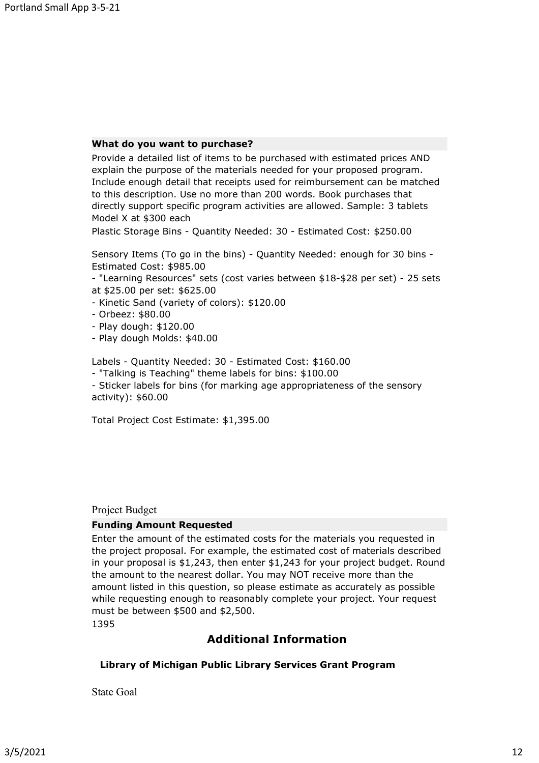#### **What do you want to purchase?**

Provide a detailed list of items to be purchased with estimated prices AND explain the purpose of the materials needed for your proposed program. Include enough detail that receipts used for reimbursement can be matched to this description. Use no more than 200 words. Book purchases that directly support specific program activities are allowed. Sample: 3 tablets Model X at \$300 each

Plastic Storage Bins - Quantity Needed: 30 - Estimated Cost: \$250.00

Sensory Items (To go in the bins) - Quantity Needed: enough for 30 bins - Estimated Cost: \$985.00

- "Learning Resources" sets (cost varies between \$18-\$28 per set) - 25 sets at \$25.00 per set: \$625.00

- Kinetic Sand (variety of colors): \$120.00
- Orbeez: \$80.00
- Play dough: \$120.00
- Play dough Molds: \$40.00

Labels - Quantity Needed: 30 - Estimated Cost: \$160.00

- "Talking is Teaching" theme labels for bins: \$100.00

- Sticker labels for bins (for marking age appropriateness of the sensory activity): \$60.00

Total Project Cost Estimate: \$1,395.00

#### Project Budget

#### **Funding Amount Requested**

Enter the amount of the estimated costs for the materials you requested in the project proposal. For example, the estimated cost of materials described in your proposal is \$1,243, then enter \$1,243 for your project budget. Round the amount to the nearest dollar. You may NOT receive more than the amount listed in this question, so please estimate as accurately as possible while requesting enough to reasonably complete your project. Your request must be between \$500 and \$2,500.

1395

# **Additional Information**

### **Library of Michigan Public Library Services Grant Program**

State Goal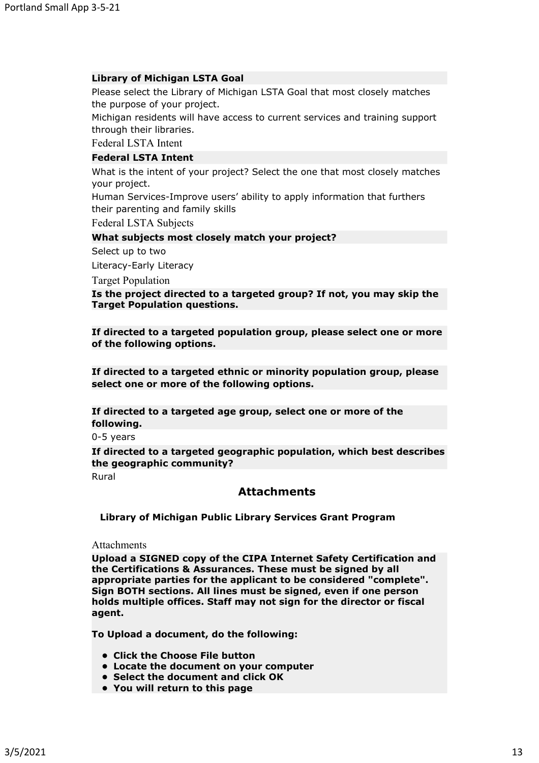### **Library of Michigan LSTA Goal**

Please select the Library of Michigan LSTA Goal that most closely matches the purpose of your project.

Michigan residents will have access to current services and training support through their libraries.

Federal LSTA Intent

## **Federal LSTA Intent**

What is the intent of your project? Select the one that most closely matches your project.

Human Services-Improve users' ability to apply information that furthers their parenting and family skills

Federal LSTA Subjects

#### **What subjects most closely match your project?**

Select up to two

Literacy-Early Literacy

Target Population

**Is the project directed to a targeted group? If not, you may skip the Target Population questions.**

**If directed to a targeted population group, please select one or more of the following options.**

**If directed to a targeted ethnic or minority population group, please select one or more of the following options.**

**If directed to a targeted age group, select one or more of the following.**

0-5 years

**If directed to a targeted geographic population, which best describes the geographic community?**

Rural

## **Attachments**

**Library of Michigan Public Library Services Grant Program**

**Attachments** 

**Upload a SIGNED copy of the CIPA Internet Safety Certification and the Certifications & Assurances. These must be signed by all appropriate parties for the applicant to be considered "complete". Sign BOTH sections. All lines must be signed, even if one person holds multiple offices. Staff may not sign for the director or fiscal agent.**

**To Upload a document, do the following:**

- **• Click the Choose File button**
- **• Locate the document on your computer**
- **• Select the document and click OK**
- **• You will return to this page**